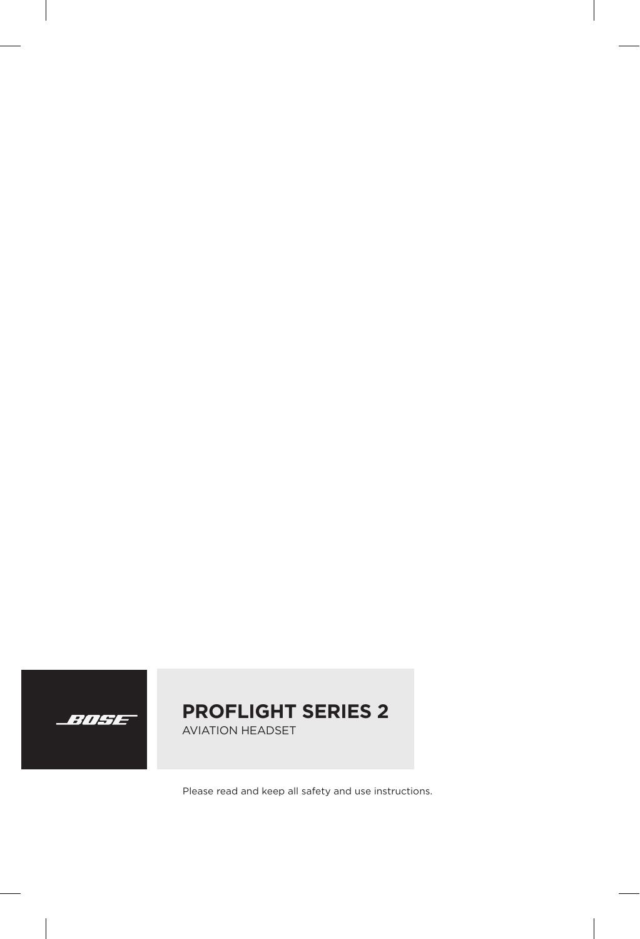

## **PROFLIGHT SERIES 2**

AVIATION HEADSET

Please read and keep all safety and use instructions.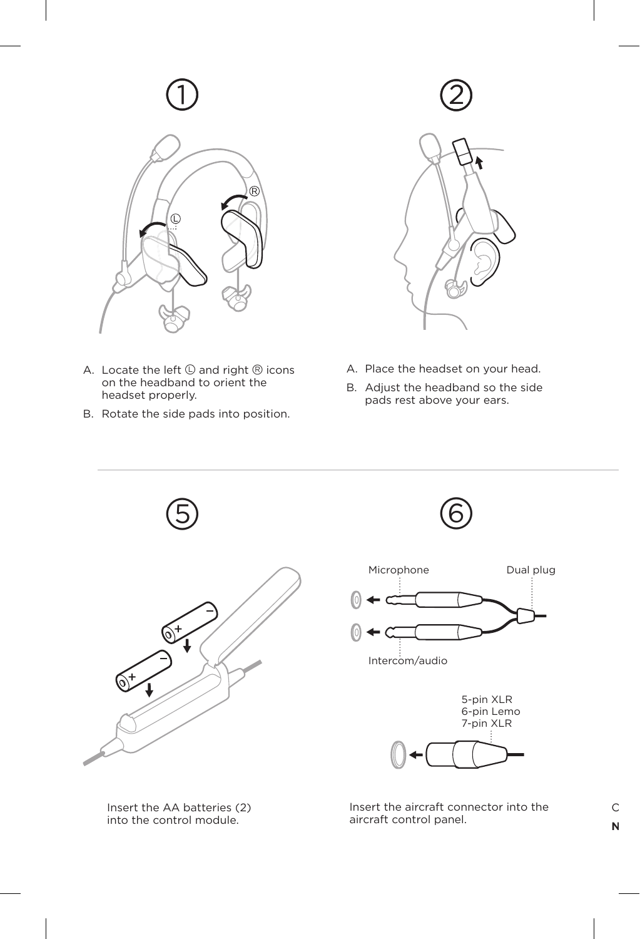



- A. Locate the left  $\mathbb O$  and right  $\mathbb R$  icons on the headband to orient the headset properly.
- B. Rotate the side pads into position.

Insert the AA batteries (2) into the control module.



- A. Place the headset on your head.
- B. Adjust the headband so the side pads rest above your ears.



Insert the aircraft connector into the aircraft control panel.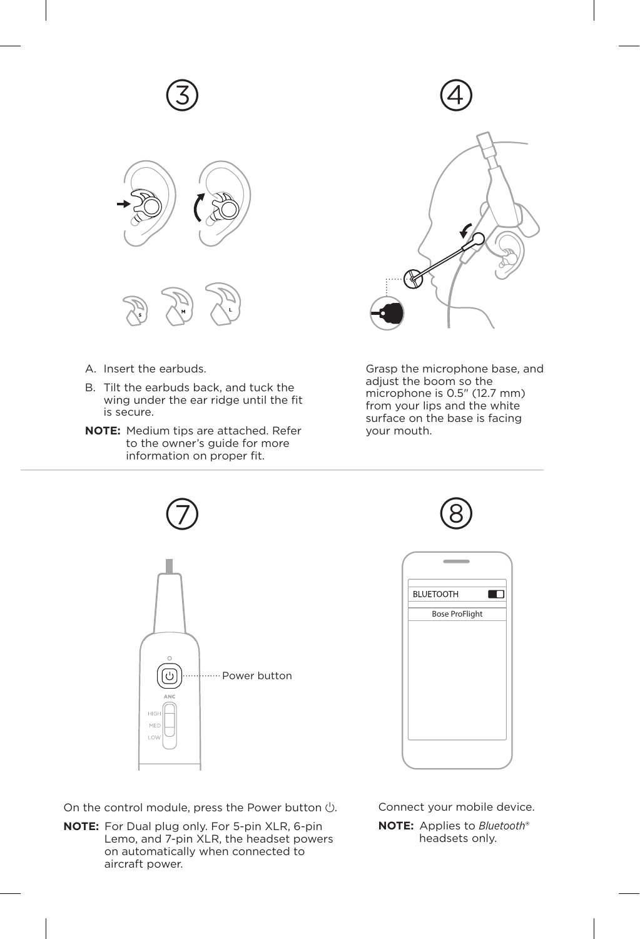





- A. Insert the earbuds.
- B. Tilt the earbuds back, and tuck the wing under the ear ridge until the fit is secure.
- **NOTE:** Medium tips are attached. Refer to the owner's guide for more information on proper fit.





Grasp the microphone base, and adjust the boom so the microphone is 0.5" (12.7 mm) from your lips and the white surface on the base is facing your mouth.





| <b>BLUETOOTH</b>      |  |
|-----------------------|--|
| <b>Bose ProFlight</b> |  |
|                       |  |
|                       |  |
|                       |  |
|                       |  |
|                       |  |
|                       |  |
|                       |  |

On the control module, press the Power button  $\bigcirc$ .

**NOTE:** For Dual plug only. For 5-pin XLR, 6-pin Lemo, and 7-pin XLR, the headset powers on automatically when connected to aircraft power.

Connect your mobile device.

**NOTE:** Applies to *Bluetooth*® headsets only.